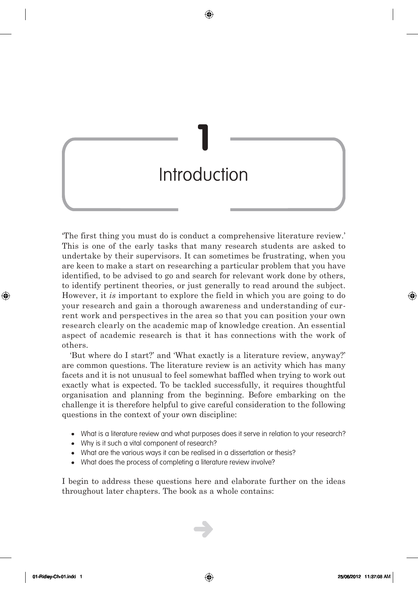⊕

The first thing you must do is conduct a comprehensive literature review. This is one of the early tasks that many research students are asked to undertake by their supervisors. It can sometimes be frustrating, when you are keen to make a start on researching a particular problem that you have identified, to be advised to go and search for relevant work done by others, to identify pertinent theories, or just generally to read around the subject. However, it is important to explore the field in which you are going to do your research and gain a thorough awareness and understanding of current work and perspectives in the area so that you can position your own research clearly on the academic map of knowledge creation. An essential aspect of academic research is that it has connections with the work of others.

'But where do I start?' and 'What exactly is a literature review, anyway?' are common questions. The literature review is an activity which has many facets and it is not unusual to feel somewhat baffled when trying to work out exactly what is expected. To be tackled successfully, it requires thoughtful organisation and planning from the beginning. Before embarking on the challenge it is therefore helpful to give careful consideration to the following questions in the context of your own discipline:

- What is a literature review and what purposes does it serve in relation to your research?
- Why is it such a vital component of research?
- What are the various ways it can be realised in a dissertation or thesis?
- What does the process of completing a literature review involve?

I begin to address these questions here and elaborate further on the ideas throughout later chapters. The book as a whole contains:



◈

⊕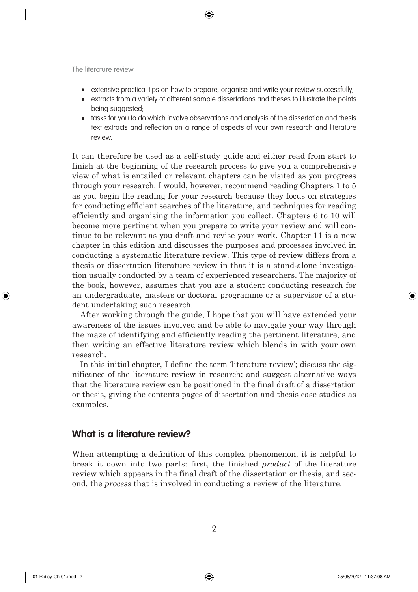extensive practical tips on how to prepare, organise and write your review successfully;

⊕

- $\bullet$ extracts from a variety of different sample dissertations and theses to illustrate the points being suggested;
- tasks for you to do which involve observations and analysis of the dissertation and thesis text extracts and reflection on a range of aspects of your own research and literature review.

It can therefore be used as a self-study guide and either read from start to finish at the beginning of the research process to give you a comprehensive view of what is entailed or relevant chapters can be visited as you progress through your research. I would, however, recommend reading Chapters 1 to 5 as you begin the reading for your research because they focus on strategies for conducting efficient searches of the literature, and techniques for reading efficiently and organising the information you collect. Chapters 6 to 10 will become more pertinent when you prepare to write your review and will continue to be relevant as you draft and revise your work. Chapter 11 is a new chapter in this edition and discusses the purposes and processes involved in conducting a systematic literature review. This type of review differs from a thesis or dissertation literature review in that it is a stand-alone investigation usually conducted by a team of experienced researchers. The majority of the book, however, assumes that you are a student conducting research for an undergraduate, masters or doctoral programme or a supervisor of a student undertaking such research.

After working through the guide, I hope that you will have extended your awareness of the issues involved and be able to navigate your way through the maze of identifying and efficiently reading the pertinent literature, and then writing an effective literature review which blends in with your own research.

In this initial chapter, I define the term 'literature review'; discuss the significance of the literature review in research; and suggest alternative ways that the literature review can be positioned in the final draft of a dissertation or thesis, giving the contents pages of dissertation and thesis case studies as examples.

## What is a literature review?

When attempting a definition of this complex phenomenon, it is helpful to break it down into two parts: first, the finished *product* of the literature review which appears in the final draft of the dissertation or thesis, and second, the *process* that is involved in conducting a review of the literature.

⊕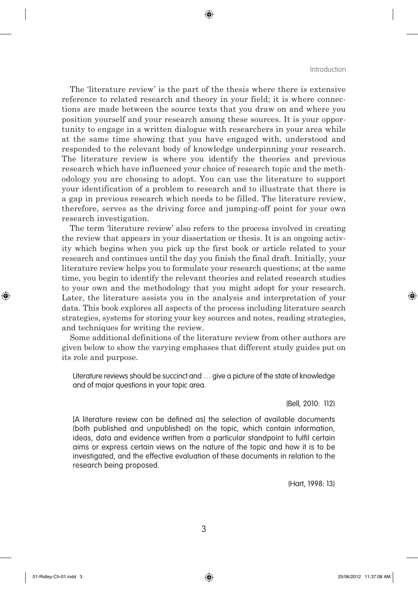The 'literature review' is the part of the thesis where there is extensive reference to related research and theory in your field; it is where connections are made between the source texts that you draw on and where you position yourself and your research among these sources. It is your opportunity to engage in a written dialogue with researchers in your area while at the same time showing that you have engaged with, understood and responded to the relevant body of knowledge underpinning your research. The literature review is where you identify the theories and previous research which have influenced your choice of research topic and the methodology you are choosing to adopt. You can use the literature to support your identification of a problem to research and to illustrate that there is a gap in previous research which needs to be filled. The literature review, therefore, serves as the driving force and jumping-off point for your own research investigation.

⊕

The term 'literature review' also refers to the process involved in creating the review that appears in your dissertation or thesis. It is an ongoing activity which begins when you pick up the first book or article related to your research and continues until the day you finish the final draft. Initially, your literature review helps you to formulate your research questions; at the same time, you begin to identify the relevant theories and related research studies to your own and the methodology that you might adopt for your research. Later, the literature assists you in the analysis and interpretation of your data. This book explores all aspects of the process including literature search strategies, systems for storing your key sources and notes, reading strategies, and techniques for writing the review.

Some additional definitions of the literature review from other authors are given below to show the varying emphases that different study guides put on its role and purpose.

Literature reviews should be succinct and ... give a picture of the state of knowledge and of major questions in your topic area.

(Bell. 2010: 112)

[A literature review can be defined as] the selection of available documents (both published and unpublished) on the topic, which contain information, ideas, data and evidence written from a particular standpoint to fulfil certain aims or express certain views on the nature of the topic and how it is to be investigated, and the effective evaluation of these documents in relation to the research being proposed.

(Hart, 1998: 13)

◈

⊕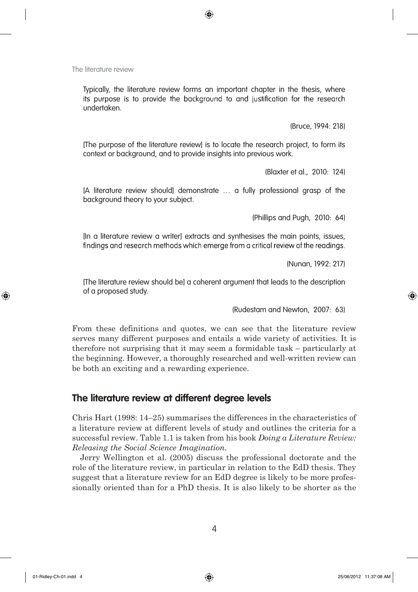♠

The literature review

Typically, the literature review forms an important chapter in the thesis, where its purpose is to provide the background to and justification for the research undertaken.

(Bruce, 1994: 218)

The purpose of the literature reviewl is to locate the research project, to form its context or background, and to provide insights into previous work.

(Blaxter et al., 2010: 124)

[A literature review should] demonstrate ... a fully professional grasp of the background theory to your subject.

(Phillips and Pugh, 2010: 64)

In a literature review a writerl extracts and synthesises the main points, issues. findings and research methods which emerge from a critical review of the readings.

(Nunan, 1992: 217)

♠

[The literature review should be] a coherent argument that leads to the description of a proposed study.

(Rudestam and Newton, 2007: 63)

From these definitions and quotes, we can see that the literature review serves many different purposes and entails a wide variety of activities. It is therefore not surprising that it may seem a formidable task – particularly at the beginning. However, a thoroughly researched and well-written review can be both an exciting and a rewarding experience.

### The literature review at different degree levels

Chris Hart  $(1998: 14-25)$  summarises the differences in the characteristics of a literature review at different levels of study and outlines the criteria for a successful review. Table 1.1 is taken from his book *Doing a Literature Review*: Releasing the Social Science Imagination.

Jerry Wellington et al. (2005) discuss the professional doctorate and the role of the literature review, in particular in relation to the EdD thesis. They suggest that a literature review for an EdD degree is likely to be more professionally oriented than for a PhD thesis. It is also likely to be shorter as the

◈

◈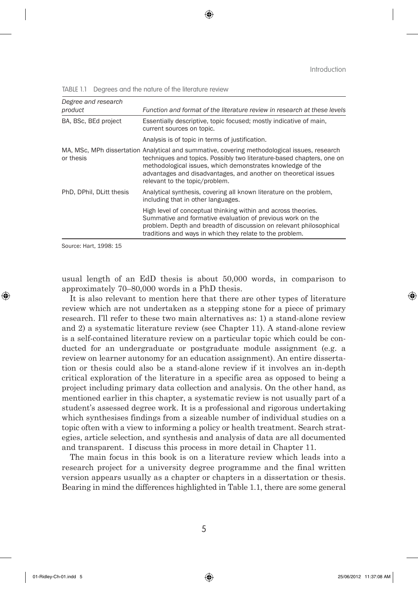| Degree and research      |                                                                                                                                                                                                                                                                                                                                          |
|--------------------------|------------------------------------------------------------------------------------------------------------------------------------------------------------------------------------------------------------------------------------------------------------------------------------------------------------------------------------------|
| product                  | Function and format of the literature review in research at these levels                                                                                                                                                                                                                                                                 |
| BA, BSc, BEd project     | Essentially descriptive, topic focused; mostly indicative of main,<br>current sources on topic.                                                                                                                                                                                                                                          |
|                          | Analysis is of topic in terms of justification.                                                                                                                                                                                                                                                                                          |
| or thesis                | MA, MSc, MPh dissertation Analytical and summative, covering methodological issues, research<br>techniques and topics. Possibly two literature-based chapters, one on<br>methodological issues, which demonstrates knowledge of the<br>advantages and disadvantages, and another on theoretical issues<br>relevant to the topic/problem. |
| PhD, DPhil, DLitt thesis | Analytical synthesis, covering all known literature on the problem,<br>including that in other languages.                                                                                                                                                                                                                                |
|                          | High level of conceptual thinking within and across theories.<br>Summative and formative evaluation of previous work on the<br>problem. Depth and breadth of discussion on relevant philosophical<br>traditions and ways in which they relate to the problem.                                                                            |

◈

TABLE 1.1 Degrees and the nature of the literature review

Source: Hart, 1998: 15

⊕

usual length of an EdD thesis is about 50,000 words, in comparison to approximately 70–80,000 words in a PhD thesis.

It is also relevant to mention here that there are other types of literature review which are not undertaken as a stepping stone for a piece of primary research. I'll refer to these two main alternatives as: 1) a stand-alone review and 2) a systematic literature review (see Chapter 11). A stand-alone review is a self-contained literature review on a particular topic which could be conducted for an undergraduate or postgraduate module assignment (e.g. a review on learner autonomy for an education assignment). An entire dissertation or thesis could also be a stand-alone review if it involves an in-depth critical exploration of the literature in a specific area as opposed to being a project including primary data collection and analysis. On the other hand, as mentioned earlier in this chapter, a systematic review is not usually part of a student's assessed degree work. It is a professional and rigorous undertaking which synthesises findings from a sizeable number of individual studies on a topic often with a view to informing a policy or health treatment. Search strategies, article selection, and synthesis and analysis of data are all documented and transparent. I discuss this process in more detail in Chapter 11.

The main focus in this book is on a literature review which leads into a research project for a university degree programme and the final written version appears usually as a chapter or chapters in a dissertation or thesis. Bearing in mind the differences highlighted in Table 1.1, there are some general

5

01-Ridley-Ch-01.indd 5

◈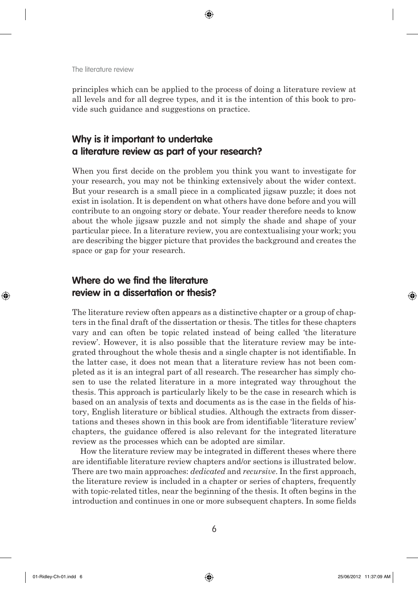principles which can be applied to the process of doing a literature review at all levels and for all degree types, and it is the intention of this book to provide such guidance and suggestions on practice.

⊕

# Why is it important to undertake a literature review as part of your research?

When you first decide on the problem you think you want to investigate for your research, you may not be thinking extensively about the wider context. But your research is a small piece in a complicated jigsaw puzzle; it does not exist in isolation. It is dependent on what others have done before and you will contribute to an ongoing story or debate. Your reader therefore needs to know about the whole jigsaw puzzle and not simply the shade and shape of your particular piece. In a literature review, you are contextualising your work; you are describing the bigger picture that provides the background and creates the space or gap for your research.

# Where do we find the literature review in a dissertation or thesis?

The literature review often appears as a distinctive chapter or a group of chapters in the final draft of the dissertation or thesis. The titles for these chapters vary and can often be topic related instead of being called 'the literature review'. However, it is also possible that the literature review may be integrated throughout the whole thesis and a single chapter is not identifiable. In the latter case, it does not mean that a literature review has not been completed as it is an integral part of all research. The researcher has simply chosen to use the related literature in a more integrated way throughout the thesis. This approach is particularly likely to be the case in research which is based on an analysis of texts and documents as is the case in the fields of history, English literature or biblical studies. Although the extracts from dissertations and theses shown in this book are from identifiable 'literature review' chapters, the guidance offered is also relevant for the integrated literature review as the processes which can be adopted are similar.

How the literature review may be integrated in different theses where there are identifiable literature review chapters and/or sections is illustrated below. There are two main approaches: *dedicated* and *recursive*. In the first approach, the literature review is included in a chapter or series of chapters, frequently with topic-related titles, near the beginning of the thesis. It often begins in the introduction and continues in one or more subsequent chapters. In some fields

⊕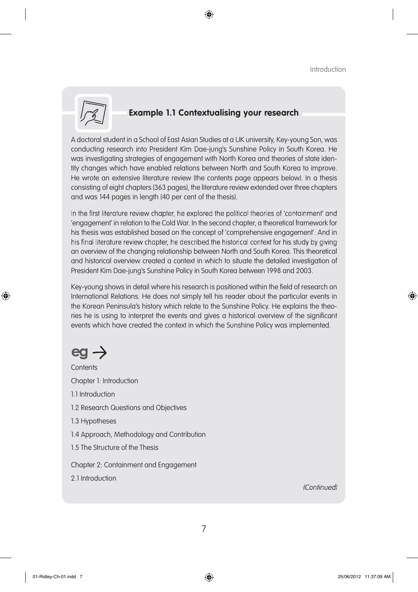# **Example 1.1 Contextualising your research**

◈

A doctoral student in a School of East Asian Studies at a UK university, Key-young Son, was conducting research into President Kim Dae-jung's Sunshine Policy in South Korea. He was investigating strategies of engagement with North Korea and theories of state identity changes which have enabled relations between North and South Korea to improve. He wrote an extensive literature review (the contents page appears below). In a thesis consisting of eight chapters (363 pages), the literature review extended over three chapters and was 144 pages in length (40 per cent of the thesis).

In the first literature review chapter, he explored the political theories of 'containment' and 'engagement' in relation to the Cold War. In the second chapter, a theoretical framework for his thesis was established based on the concept of 'comprehensive engagement'. And in his final literature review chapter, he described the historical context for his study by giving an overview of the changing relationship between North and South Korea. This theoretical and historical overview created a context in which to situate the detailed investigation of President Kim Dae-jung's Sunshine Policy in South Korea between 1998 and 2003.

Key-young shows in detail where his research is positioned within the field of research on International Relations. He does not simply tell his reader about the particular events in the Korean Peninsula's history which relate to the Sunshine Policy. He explains the theories he is using to interpret the events and gives a historical overview of the significant events which have created the context in which the Sunshine Policy was implemented.

 $ea \rightarrow$ 

⊕

Contents Chapter 1: Introduction 1.1 Introduction 1.2 Research Questions and Objectives 1.3 Hypotheses 1.4 Approach, Methodology and Contribution 1.5 The Structure of the Thesis Chapter 2: Containment and Engagement 2.1 Introduction

(Continued)

◈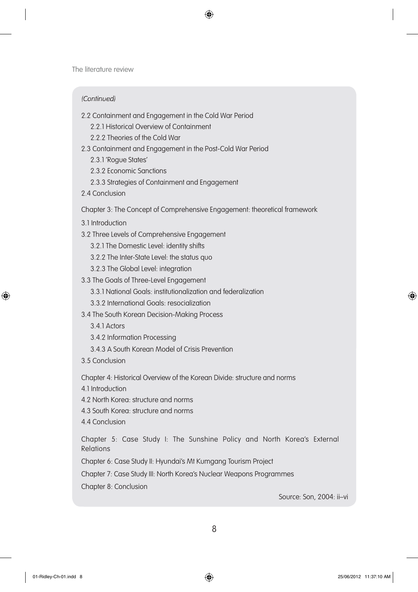#### *(Continued)*

- 2.2 Containment and Engagement in the Cold War Period
	- 2.2.1 Historical Overview of Containment
	- 2.2.2 Theories of the Cold War
- 2.3 Containment and Engagement in the Post-Cold War Period
	- 2.3.1 'Rogue States'
	- 2.3.2 Economic Sanctions
	- 2.3.3 Strategies of Containment and Engagement
- 2.4 Conclusion

Chapter 3: The Concept of Comprehensive Engagement: theoretical framework

♠

- 3.1 Introduction
- 3.2 Three Levels of Comprehensive Engagement
	- 3.2.1 The Domestic Level: identity shifts
	- 3.2.2 The Inter-State Level: the status quo
	- 3.2.3 The Global Level: integration
- 3.3 The Goals of Three-Level Engagement
	- 3.3.1 National Goals: institutionalization and federalization
	- 3.3.2 International Goals: resocialization
- 3.4 The South Korean Decision-Making Process
	- 3.4.1 Actors
	- 3.4.2 Information Processing
	- 3.4.3 A South Korean Model of Crisis Prevention
- 3.5 Conclusion

Chapter 4: Historical Overview of the Korean Divide: structure and norms

- 4.1 Introduction
- 4.2 North Korea: structure and norms
- 4.3 South Korea: structure and norms
- 4.4 Conclusion

Chapter 5: Case Study I: The Sunshine Policy and North Korea's External **Relations** 

Chapter 6: Case Study II: Hyundai's Mt Kumgang Tourism Project

Chapter 7: Case Study III: North Korea's Nuclear Weapons Programmes

Chapter 8: Conclusion

Source: Son. 2004: ii-vi

◈

⊕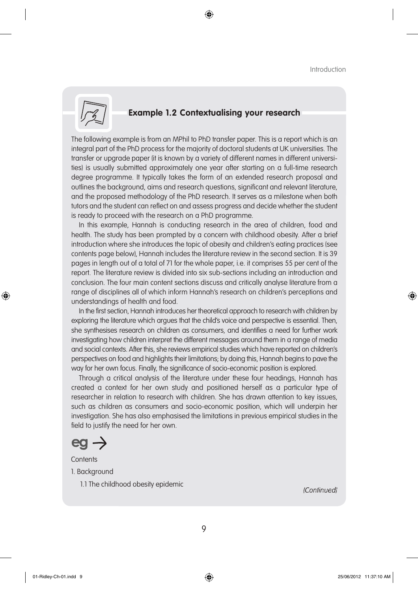# **Example 1.2 Contextualising your research**

◈

The following example is from an MPhil to PhD transfer paper. This is a report which is an integral part of the PhD process for the majority of doctoral students at UK universities. The transfer or upgrade paper (it is known by a variety of different names in different universities) is usually submitted approximately one year after starting on a full-time research degree programme. It typically takes the form of an extended research proposal and outlines the background, aims and research questions, significant and relevant literature, and the proposed methodology of the PhD research. It serves as a milestone when both tutors and the student can reflect on and assess progress and decide whether the student is ready to proceed with the research on a PhD programme.

In this example, Hannah is conducting research in the area of children, food and health. The study has been prompted by a concern with childhood obesity. After a brief introduction where she introduces the topic of obesity and children's eating practices (see contents page below), Hannah includes the literature review in the second section. It is 39 pages in length out of a total of 71 for the whole paper, i.e. it comprises 55 per cent of the report. The literature review is divided into six sub-sections including an introduction and conclusion. The four main content sections discuss and critically analyse literature from a range of disciplines all of which inform Hannah's research on children's perceptions and understandings of health and food.

In the first section, Hannah introduces her theoretical approach to research with children by exploring the literature which argues that the child's voice and perspective is essential. Then, she synthesises research on children as consumers, and identifies a need for further work investigating how children interpret the different messages around them in a range of media and social contexts. After this, she reviews empirical studies which have reported on children's perspectives on food and highlights their limitations: by doing this. Hannah begins to paye the way for her own focus. Finally, the significance of socio-economic position is explored.

Through a critical analysis of the literature under these four headings, Hannah has created a context for her own study and positioned herself as a particular type of researcher in relation to research with children. She has drawn attention to key issues, such as children as consumers and socio-economic position, which will underpin her investigation. She has also emphasised the limitations in previous empirical studies in the field to justify the need for her own.

 $ea \rightarrow$ 

Contents

1. Background

1.1 The childhood obesity epidemic

(Continued)

♠

⊕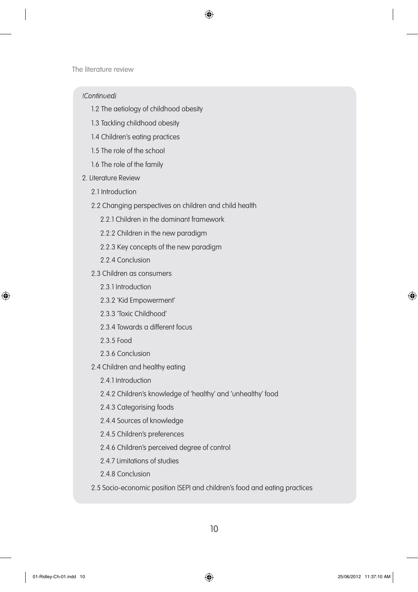#### (Continued)

- 1.2 The aetiology of childhood obesity
- 1.3 Tackling childhood obesity
- 1.4 Children's eating practices
- 1.5 The role of the school
- 1.6 The role of the family
- 2. Literature Review
	- 2 1 Introduction
	- 2.2 Changing perspectives on children and child health

♠

- 2.2.1 Children in the dominant framework
- 2.2.2 Children in the new paradigm
- 2.2.3 Key concepts of the new paradigm
- 2.2.4 Conclusion
- 2.3 Children as consumers
	- 2.3.1 Introduction
	- 2.3.2 'Kid Empowerment'
	- 2.3.3 'Toxic Childhood'
	- 2.3.4 Towards a different focus
	- 2.3.5 Food
	- 2.3.6 Conclusion
- 2.4 Children and healthy eating
	- 2.4.1 Introduction
	- 2.4.2 Children's knowledge of 'healthy' and 'unhealthy' food
	- 2.4.3 Categorising foods
	- 2.4.4 Sources of knowledge
	- 2.4.5 Children's preferences
	- 2.4.6 Children's perceived degree of control
	- 2.4.7 Limitations of studies
	- 2.4.8 Conclusion
- 2.5 Socio-economic position (SEP) and children's food and eating practices

◈

⊕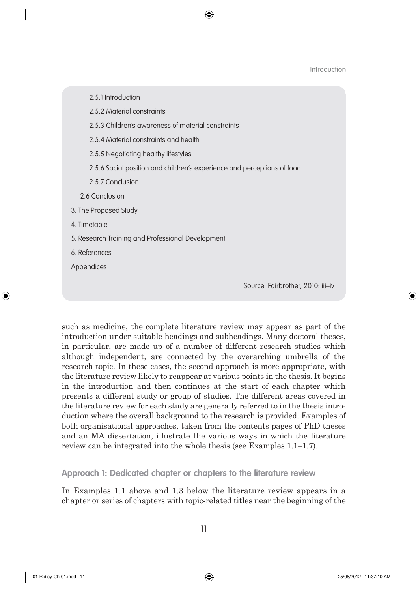2.5.1 Introduction 2.5.2 Material constraints 2.5.3 Children's awareness of material constraints 2.5.4 Material constraints and health 2.5.5 Negotiating healthy lifestyles 2.5.6 Social position and children's experience and perceptions of food 2.5.7 Conclusion 2.6 Conclusion 3. The Proposed Study 4. Timetable 5. Research Training and Professional Development 6. References Appendices Source: Fairbrother, 2010: iii-iv

♠

such as medicine, the complete literature review may appear as part of the introduction under suitable headings and subheadings. Many doctoral theses, in particular, are made up of a number of different research studies which although independent, are connected by the overarching umbrella of the research topic. In these cases, the second approach is more appropriate, with the literature review likely to reappear at various points in the thesis. It begins in the introduction and then continues at the start of each chapter which presents a different study or group of studies. The different areas covered in the literature review for each study are generally referred to in the thesis introduction where the overall background to the research is provided. Examples of both organisational approaches, taken from the contents pages of PhD theses and an MA dissertation, illustrate the various ways in which the literature review can be integrated into the whole thesis (see Examples  $1.1-1.7$ ).

Approach 1: Dedicated chapter or chapters to the literature review

In Examples 1.1 above and 1.3 below the literature review appears in a chapter or series of chapters with topic-related titles near the beginning of the

◈

⊕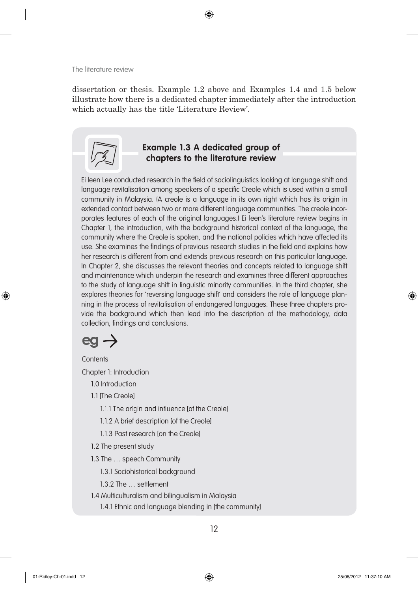◈

The literature review

dissertation or thesis. Example 1.2 above and Examples 1.4 and 1.5 below illustrate how there is a dedicated chapter immediately after the introduction which actually has the title 'Literature Review'.



# **Example 1.3 A dedicated group of** chapters to the literature review

Ei leen Lee conducted research in the field of sociolinguistics looking at language shift and language revitalisation among speakers of a specific Creole which is used within a small community in Malaysia. (A creole is a language in its own right which has its origin in extended contact between two or more different language communities. The creole incorporates features of each of the original languages.) Ei leen's literature review begins in Chapter 1, the introduction, with the background historical context of the language, the community where the Creole is spoken, and the national policies which have affected its use. She examines the findings of previous research studies in the field and explains how her research is different from and extends previous research on this particular language. In Chapter 2, she discusses the relevant theories and concepts related to language shift and maintenance which underpin the research and examines three different approaches to the study of language shift in linguistic minority communities. In the third chapter, she explores theories for 'reversing language shift' and considers the role of language planning in the process of revitalisation of endangered languages. These three chapters provide the background which then lead into the description of the methodology, data collection, findings and conclusions.

# $eg \rightarrow$

Contents

⊕

Chapter 1: Introduction

1.0 Introduction

1.1 [The Creole]

1.1.1 The origin and influence [of the Creole]

1.1.2 A brief description [of the Creole]

1.1.3 Past research [on the Creole]

1.2 The present study

1.3 The ... speech Community

1.3.1 Sociohistorical backaround

1.3.2 The settlement

1.4 Multiculturalism and bilingualism in Malaysia

1.4.1 Ethnic and language blending in Ithe communityl

◈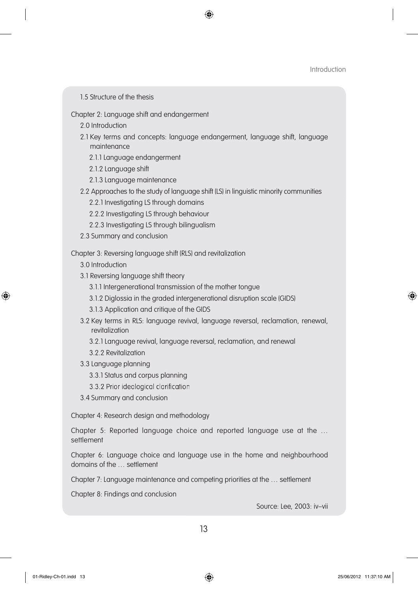1.5 Structure of the thesis

Chapter 2: Language shift and endangerment

- 2.0 Introduction
- 2.1 Key terms and concepts: language endangerment, language shift, language maintenance

◈

- 2.1.1 Language endangerment
- 2.1.2 Language shift
- 2.1.3 Language maintenance
- 2.2 Approaches to the study of language shift (LS) in linguistic minority communities
	- 2.2.1 Investigating LS through domains
	- 2.2.2 Investigating LS through behaviour
	- 2.2.3 Investigating LS through bilingualism
- 2.3 Summary and conclusion

Chapter 3: Reversing language shift (RLS) and revitalization

3.0 Introduction

⊕

- 3.1 Reversing language shift theory
	- 3.1.1 Intergenerational transmission of the mother tongue
	- 3.1.2 Diglossia in the graded intergenerational disruption scale (GIDS)
	- 3.1.3 Application and critique of the GIDS
- 3.2 Key terms in RLS: language revival, language reversal, reclamation, renewal, revitalization
	- 3.2.1 Language revival, language reversal, reclamation, and renewal
	- 3.2.2 Revitalization
- 3.3 Language planning
	- 3.3.1 Status and corpus planning
	- 3.3.2 Prior ideological clarification
- 3.4 Summary and conclusion

Chapter 4: Research design and methodology

Chapter 5: Reported language choice and reported language use at the ... settlement

Chapter 6: Language choice and language use in the home and neighbourhood domains of the ... settlement

Chapter 7: Language maintenance and competing priorities at the ... settlement

Chapter 8: Findings and conclusion

Source: Lee, 2003: iv-vii

♠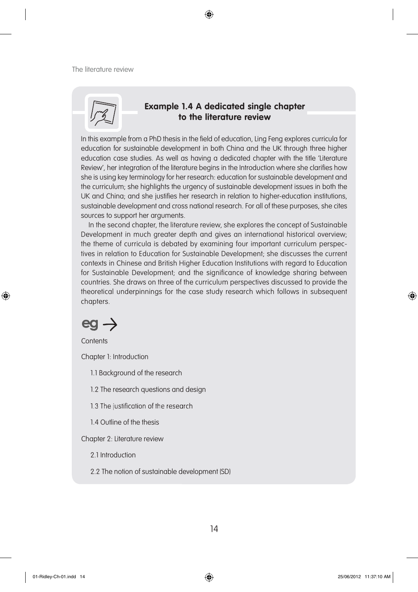

# **Example 1.4 A dedicated single chapter** to the literature review

◈

In this example from a PhD thesis in the field of education, Ling Feng explores curricula for education for sustainable development in both China and the UK through three higher education case studies. As well as having a dedicated chapter with the title 'Literature Review', her integration of the literature begins in the Introduction where she clarifies how she is using key terminology for her research: education for sustainable development and the curriculum; she highlights the urgency of sustainable development issues in both the UK and China; and she justifies her research in relation to higher-education institutions, sustainable development and cross national research. For all of these purposes, she cites sources to support her arguments.

In the second chapter, the literature review, she explores the concept of Sustainable Development in much greater depth and gives an international historical overview; the theme of curricula is debated by examining four important curriculum perspectives in relation to Education for Sustainable Development; she discusses the current contexts in Chinese and British Higher Education Institutions with regard to Education for Sustainable Development; and the significance of knowledge sharing between countries. She draws on three of the curriculum perspectives discussed to provide the theoretical underpinnings for the case study research which follows in subsequent chapters.

 $eg \rightarrow$ 

Contents

⊕

Chapter 1: Introduction

1.1 Background of the research

1.2 The research questions and design

1.3 The justification of the research

1.4 Outline of the thesis

Chapter 2: Literature review

2.1 Introduction

2.2 The notion of sustainable development (SD)

◈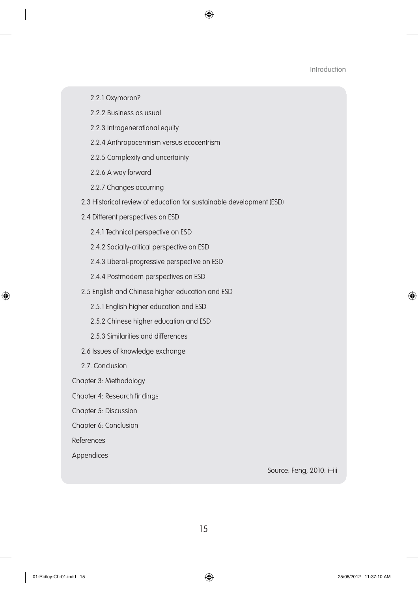- 2.2.1 Oxymoron?
- 2.2.2 Business as usual
- 2.2.3 Intragenerational equity
- 2.2.4 Anthropocentrism versus ecocentrism
- 2.2.5 Complexity and uncertainty
- 2.2.6 A way forward
- 2.2.7 Changes occurring
- 2.3 Historical review of education for sustainable development (ESD)

♠

- 2.4 Different perspectives on ESD
	- 2.4.1 Technical perspective on ESD
	- 2.4.2 Socially-critical perspective on ESD
	- 2.4.3 Liberal-progressive perspective on ESD
	- 2.4.4 Postmodern perspectives on ESD
- 2.5 English and Chinese higher education and ESD
	- 2.5.1 English higher education and ESD
	- 2.5.2 Chinese higher education and ESD
	- 2.5.3 Similarities and differences
- 2.6 Issues of knowledge exchange
- 2.7. Conclusion
- Chapter 3: Methodology
- Chapter 4: Research findings
- Chapter 5: Discussion
- Chapter 6: Conclusion

References

Appendices

Source: Feng, 2010: i-iii

◈

⊕

⊕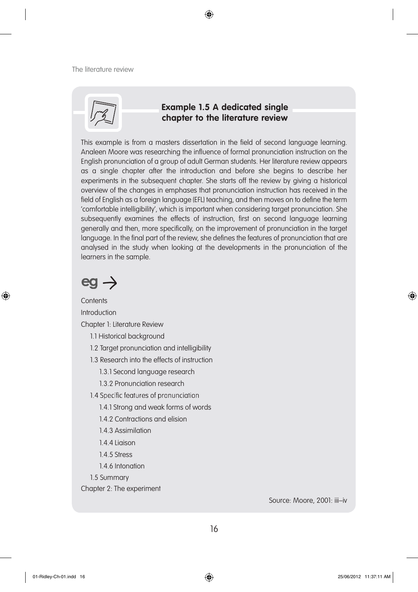

# **Example 1.5 A dedicated single** chapter to the literature review

◈

This example is from a masters dissertation in the field of second language learning. Analeen Moore was researching the influence of formal pronunciation instruction on the English pronunciation of a group of adult German students. Her literature review appears as a single chapter after the introduction and before she begins to describe her experiments in the subsequent chapter. She starts off the review by giving a historical overview of the changes in emphases that pronunciation instruction has received in the field of English as a foreign language (EFL) teaching, and then moves on to define the term 'comfortable intelligibility', which is important when considering target pronunciation. She subsequently examines the effects of instruction, first on second language learning generally and then, more specifically, on the improvement of pronunciation in the target language. In the final part of the review, she defines the features of pronunciation that are analysed in the study when looking at the developments in the pronunciation of the learners in the sample.

# $eq \rightarrow$

Contents Introduction

⊕

Chapter 1: Literature Review

1.1 Historical background

1.2 Target pronunciation and intelligibility

1.3 Research into the effects of instruction

1.3.1 Second language research

1.3.2 Pronunciation research

1.4 Specific features of pronunciation

1.4.1 Strong and weak forms of words

1.4.2 Contractions and elision

143 Assimilation

1.4.4 Ligison

14.5 Stress

1.4.6 Intonation

1.5 Summary

Chapter 2: The experiment

Source: Moore, 2001: iii-iv

◈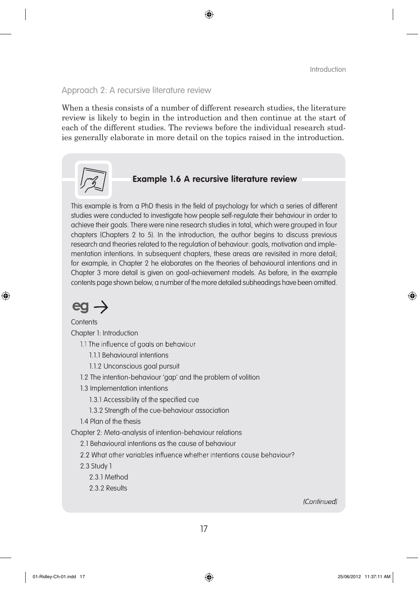### Approach 2: A recursive literature review

When a thesis consists of a number of different research studies, the literature review is likely to begin in the introduction and then continue at the start of each of the different studies. The reviews before the individual research studies generally elaborate in more detail on the topics raised in the introduction.

♠



## **Example 1.6 A recursive literature review**

This example is from a PhD thesis in the field of psychology for which a series of different studies were conducted to investigate how people self-regulate their behaviour in order to achieve their goals. There were nine research studies in total, which were grouped in four chapters (Chapters 2 to 5). In the introduction, the author begins to discuss previous research and theories related to the regulation of behaviour: goals, motivation and implementation intentions. In subsequent chapters, these areas are revisited in more detail; for example, in Chapter 2 he elaborates on the theories of behavioural intentions and in Chapter 3 more detail is given on goal-achievement models. As before, in the example contents page shown below, a number of the more detailed subheadings have been omitted.

 $eg \rightarrow$ 

⊕

Contents Chapter 1: Introduction 1.1 The influence of goals on behaviour 1.1.1 Behavioural intentions 1.1.2 Unconscious goal pursuit 1.2 The intention-behaviour 'gap' and the problem of volition 1.3 Implementation intentions 1.3.1 Accessibility of the specified cue 1.3.2 Strength of the cue-behaviour association

1.4 Plan of the thesis

Chapter 2: Meta-analysis of intention-behaviour relations

2.1 Behavioural intentions as the cause of behaviour

2.2 What other variables influence whether intentions cause behaviour?

2.3 Study 1

2.3.1 Method

2.3.2 Results

(Continued)

♠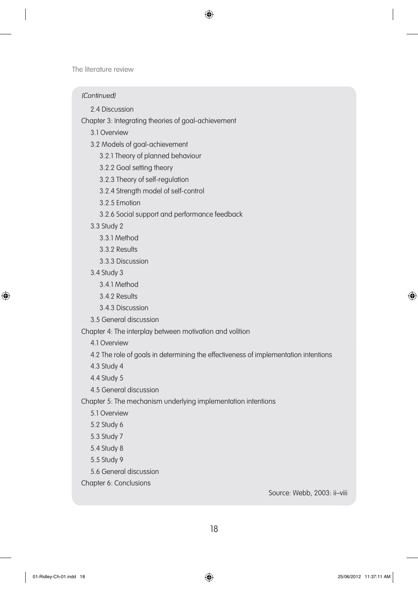(Continued)

2.4 Discussion

Chapter 3: Integrating theories of goal-achievement

♠

3.1 Overview

3.2 Models of goal-achievement

3.2.1 Theory of planned behaviour

3.2.2 Goal setting theory

3.2.3 Theory of self-regulation

3.2.4 Strength model of self-control

3.2.5 Emotion

3.2.6 Social support and performance feedback

3.3 Study 2

3.3.1 Method

3.3.2 Results

3.3.3 Discussion

3.4 Study 3

⊕

3.4.1 Method

3.4.2 Results

3.4.3 Discussion

3.5 General discussion

Chapter 4: The interplay between motivation and volition

4.1 Overview

4.2 The role of goals in determining the effectiveness of implementation intentions

4.3 Study 4

4.4 Study 5

4.5 General discussion

Chapter 5: The mechanism underlying implementation intentions

5.1 Overview

5.2 Study 6

5.3 Study 7

5.4 Study 8

5.5 Study 9

5.6 General discussion

Chapter 6: Conclusions

Source: Webb, 2003: ii-viii

◈

⊕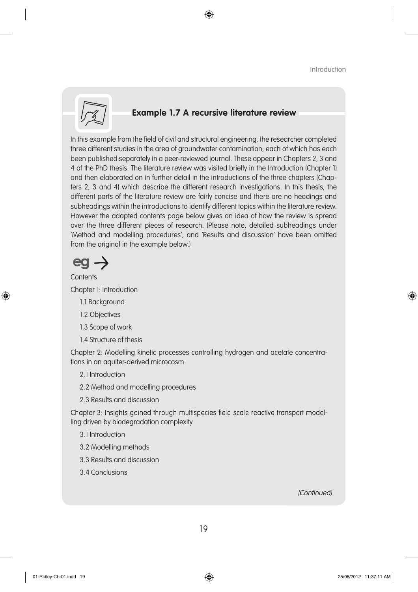# **Example 1.7 A recursive literature review**

⊕

In this example from the field of civil and structural engineering, the researcher completed three different studies in the area of groundwater contamination, each of which has each been published separately in a peer-reviewed journal. These appear in Chapters 2, 3 and 4 of the PhD thesis. The literature review was visited briefly in the Introduction (Chapter 1) and then elaborated on in further detail in the introductions of the three chapters (Chapters 2, 3 and 4) which describe the different research investigations. In this thesis, the different parts of the literature review are fairly concise and there are no headings and subheadings within the introductions to identify different topics within the literature review. However the adapted contents page below gives an idea of how the review is spread over the three different pieces of research. (Please note, detailed subheadings under 'Method and modelling procedures', and 'Results and discussion' have been omitted from the original in the example below.)

# $eg \rightarrow$

⊕

Contents Chapter 1: Introduction

1.1 Background

1.2 Objectives

1.3 Scope of work

1.4 Structure of thesis

Chapter 2: Modelling kinetic processes controlling hydrogen and acetate concentrations in an aquifer-derived microcosm

2.1 Introduction

2.2 Method and modelling procedures

2.3 Results and discussion

Chapter 3: Insights gained through multispecies field scale reactive transport modelling driven by biodegradation complexity

3.1 Introduction

3.2 Modelling methods

3.3 Results and discussion

3.4 Conclusions

(Continued)

♠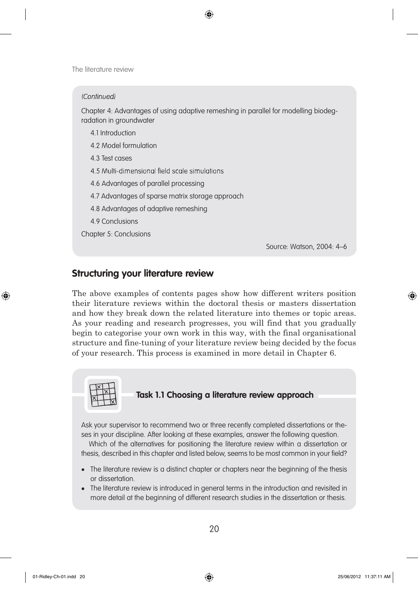#### (Continued)

Chapter 4: Advantages of using adaptive remeshing in parallel for modelling biodegradation in aroundwater

◈

- 4.1 Introduction
- 4.2 Model formulation
- 4.3 Test cases
- 4.5 Multi-dimensional field scale simulations
- 4.6 Advantages of parallel processing

4.7 Advantages of sparse matrix storage approach

- 4.8 Advantages of adaptive remeshing
- 4.9 Conclusions

Chapter 5: Conclusions

Source: Watson, 2004: 4-6

# **Structuring your literature review**

The above examples of contents pages show how different writers position their literature reviews within the doctoral thesis or masters dissertation and how they break down the related literature into themes or topic areas. As your reading and research progresses, you will find that you gradually begin to categorise your own work in this way, with the final organisational structure and fine-tuning of your literature review being decided by the focus of your research. This process is examined in more detail in Chapter 6.



#### Task 1.1 Choosing a literature review approach

Ask your supervisor to recommend two or three recently completed dissertations or theses in your discipline. After looking at these examples, answer the following question.

Which of the alternatives for positioning the literature review within a dissertation or thesis, described in this chapter and listed below, seems to be most common in your field?

- The literature review is a distinct chapter or chapters near the beginning of the thesis or dissertation.
- The literature review is introduced in general terms in the introduction and revisited in more detail at the beginning of different research studies in the dissertation or thesis.

◈

⊕

◈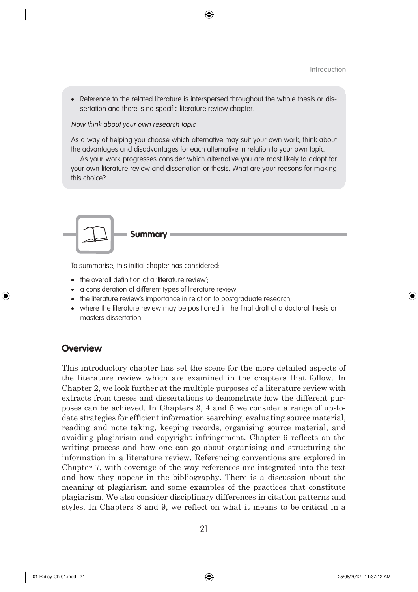• Reference to the related literature is interspersed throughout the whole thesis or dissertation and there is no specific literature review chapter.

◈

Now think about your own research topic.

As a way of helping you choose which alternative may suit your own work, think about the advantages and disadvantages for each alternative in relation to your own topic.

As your work progresses consider which alternative you are most likely to adopt for your own literature review and dissertation or thesis. What are your reasons for making this choice?



To summarise, this initial chapter has considered:

- the overall definition of a 'literature review':
- a consideration of different types of literature review:
- the literature review's importance in relation to postgraduate research;
- where the literature review may be positioned in the final draft of a doctoral thesis or masters dissertation.

### **Overview**

⊕

This introductory chapter has set the scene for the more detailed aspects of the literature review which are examined in the chapters that follow. In Chapter 2, we look further at the multiple purposes of a literature review with extracts from theses and dissertations to demonstrate how the different purposes can be achieved. In Chapters 3, 4 and 5 we consider a range of up-todate strategies for efficient information searching, evaluating source material, reading and note taking, keeping records, organising source material, and avoiding plagiarism and copyright infringement. Chapter 6 reflects on the writing process and how one can go about organising and structuring the information in a literature review. Referencing conventions are explored in Chapter 7, with coverage of the way references are integrated into the text and how they appear in the bibliography. There is a discussion about the meaning of plagiarism and some examples of the practices that constitute plagiarism. We also consider disciplinary differences in citation patterns and styles. In Chapters 8 and 9, we reflect on what it means to be critical in a